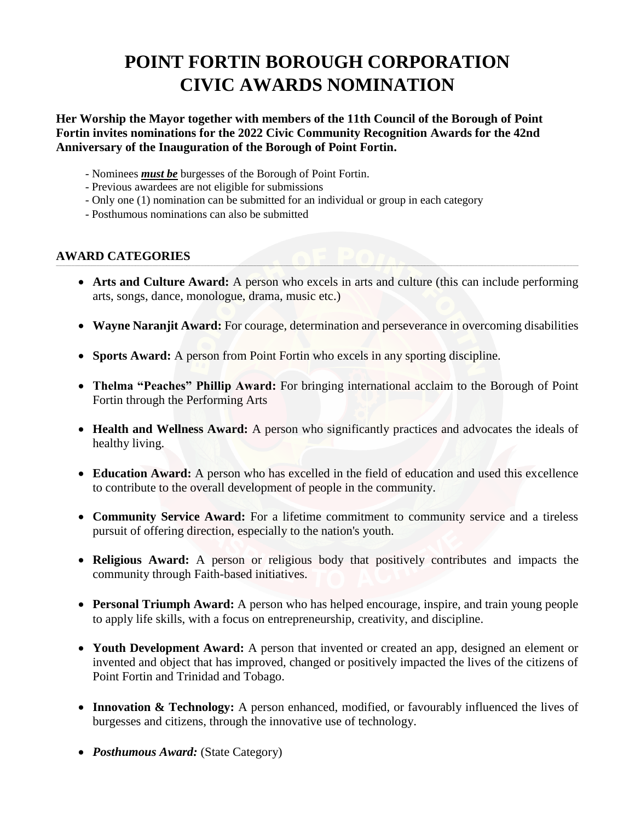# **POINT FORTIN BOROUGH CORPORATION CIVIC AWARDS NOMINATION**

## **Her Worship the Mayor together with members of the 11th Council of the Borough of Point Fortin invites nominations for the 2022 Civic Community Recognition Awards for the 42nd Anniversary of the Inauguration of the Borough of Point Fortin.**

- Nominees *must be* burgesses of the Borough of Point Fortin.
- Previous awardees are not eligible for submissions
- Only one (1) nomination can be submitted for an individual or group in each category
- Posthumous nominations can also be submitted

### **AWARD CATEGORIES**

 **Arts and Culture Award:** A person who excels in arts and culture (this can include performing arts, songs, dance, monologue, drama, music etc.)

**\_\_\_\_\_\_\_\_\_\_\_\_\_\_\_\_\_\_\_\_\_\_\_\_\_\_\_\_\_\_\_\_\_\_\_\_\_\_\_\_\_\_\_\_\_\_\_\_\_\_\_\_\_\_\_\_\_\_\_\_\_\_\_\_\_\_\_\_\_\_\_\_\_\_\_\_\_\_\_\_\_\_\_\_\_\_\_\_\_\_\_\_\_\_\_\_\_\_\_\_\_\_\_\_\_\_\_\_\_\_\_\_\_\_\_\_\_\_\_\_\_\_\_\_\_\_\_\_\_\_\_\_\_\_\_\_\_\_\_\_\_\_\_\_\_\_\_\_\_\_\_\_\_\_\_\_\_\_\_\_\_\_\_\_\_\_\_\_\_\_\_\_\_\_\_\_\_\_\_\_\_\_\_\_\_\_\_\_\_\_\_\_\_\_\_\_\_\_\_\_\_\_\_\_\_\_\_\_\_\_\_\_\_\_\_\_\_\_\_\_\_\_\_\_\_\_\_\_\_\_\_\_\_\_\_\_\_\_\_\_\_\_\_\_\_\_\_\_\_\_\_\_\_\_\_\_\_\_\_\_\_\_\_\_\_\_\_\_\_\_\_\_\_\_\_\_\_\_\_\_\_\_\_\_\_\_\_\_\_\_\_\_\_\_\_\_\_\_\_\_\_\_\_\_\_\_\_\_\_\_\_\_\_\_\_\_\_\_\_\_\_\_\_\_\_\_\_\_\_\_\_\_\_\_\_\_**

- **Wayne Naranjit Award:** For courage, determination and perseverance in overcoming disabilities
- Sports Award: A person from Point Fortin who excels in any sporting discipline.
- **Thelma "Peaches" Phillip Award:** For bringing international acclaim to the Borough of Point Fortin through the Performing Arts
- Health and Wellness Award: A person who significantly practices and advocates the ideals of healthy living.
- **Education Award:** A person who has excelled in the field of education and used this excellence to contribute to the overall development of people in the community.
- **Community Service Award:** For a lifetime commitment to community service and a tireless pursuit of offering direction, especially to the nation's youth.
- **Religious Award:** A person or religious body that positively contributes and impacts the community through Faith-based initiatives.
- **Personal Triumph Award:** A person who has helped encourage, inspire, and train young people to apply life skills, with a focus on entrepreneurship, creativity, and discipline.
- **Youth Development Award:** A person that invented or created an app, designed an element or invented and object that has improved, changed or positively impacted the lives of the citizens of Point Fortin and Trinidad and Tobago.
- Innovation & Technology: A person enhanced, modified, or favourably influenced the lives of burgesses and citizens, through the innovative use of technology.
- *Posthumous Award:* (State Category)